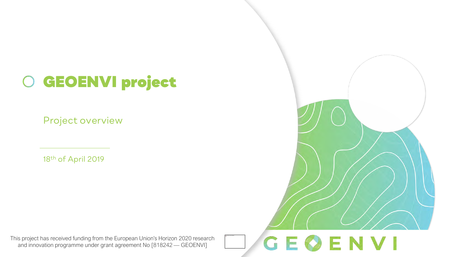## GEOENVI project

Project overview

18th of April 2019

This project has received funding from the European Union's Horizon 2020 research and innovation programme under grant agreement No [818242 — GEOENVI]

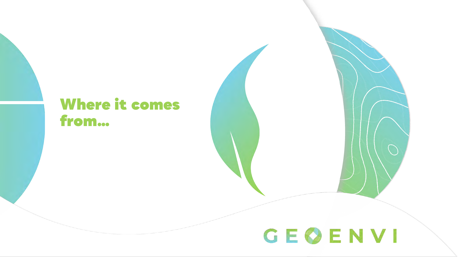## Where it comes from…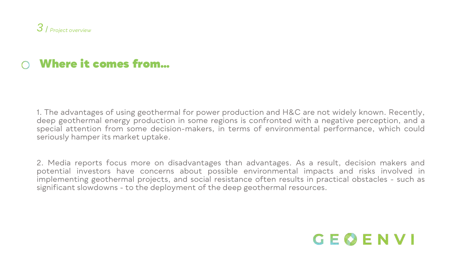## Where it comes from…

1. The advantages of using geothermal for power production and H&C are not widely known. Recently, deep geothermal energy production in some regions is confronted with a negative perception, and a special attention from some decision-makers, in terms of environmental performance, which could seriously hamper its market uptake.

2. Media reports focus more on disadvantages than advantages. As a result, decision makers and potential investors have concerns about possible environmental impacts and risks involved in implementing geothermal projects, and social resistance often results in practical obstacles - such as significant slowdowns - to the deployment of the deep geothermal resources.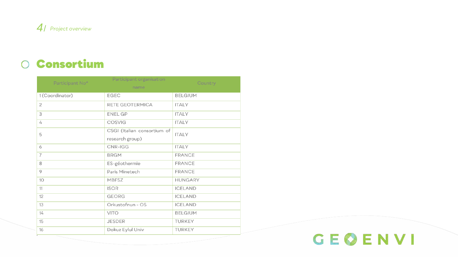

### Consortium

| Participant No* | Participant organisation<br>name               | Country        |
|-----------------|------------------------------------------------|----------------|
| 1(Coordinator)  | EGEC                                           | <b>BELGIUM</b> |
| $\overline{2}$  | RETE GEOTERMICA                                | <b>ITALY</b>   |
| 3               | <b>ENEL GP</b>                                 | <b>ITALY</b>   |
| 4               | <b>COSVIG</b>                                  | <b>ITALY</b>   |
| 5               | CSGI (Italian consortium of<br>research group) | <b>ITALY</b>   |
| 6               | CNR-IGG                                        | <b>ITALY</b>   |
| 7               | <b>BRGM</b>                                    | <b>FRANCE</b>  |
| 8               | ES-géothermie                                  | <b>FRANCE</b>  |
| 9               | Paris Minetech                                 | <b>FRANCE</b>  |
| 10              | <b>MBFSZ</b>                                   | <b>HUNGARY</b> |
| 11              | <b>ISOR</b>                                    | <b>ICELAND</b> |
| 12              | <b>GEORG</b>                                   | <b>ICELAND</b> |
| 13              | Orkustofnun - OS                               | <b>ICELAND</b> |
| 14              | <b>VITO</b>                                    | <b>BELGIUM</b> |
| 15              | <b>JESDER</b>                                  | <b>TURKEY</b>  |
| 16              | Dokuz Eylul Univ                               | <b>TURKEY</b>  |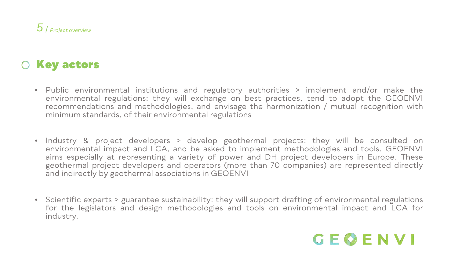### O Key actors

- Public environmental institutions and regulatory authorities > implement and/or make the environmental regulations: they will exchange on best practices, tend to adopt the GEOENVI recommendations and methodologies, and envisage the harmonization / mutual recognition with minimum standards, of their environmental regulations
- Industry & project developers > develop geothermal projects: they will be consulted on environmental impact and LCA, and be asked to implement methodologies and tools. GEOENVI aims especially at representing a variety of power and DH project developers in Europe. These geothermal project developers and operators (more than 70 companies) are represented directly and indirectly by geothermal associations in GEOENVI
- Scientific experts > guarantee sustainability: they will support drafting of environmental regulations for the legislators and design methodologies and tools on environmental impact and LCA for industry.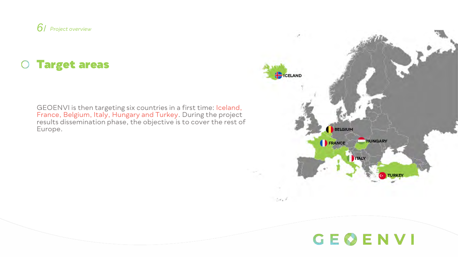

### Target areas

GEOENVI is then targeting six countries in a first time: Iceland, France, Belgium, Italy, Hungary and Turkey. During the project results dissemination phase, the objective is to cover the rest of Europe.

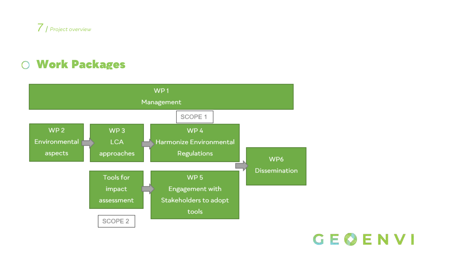

### Work Packages



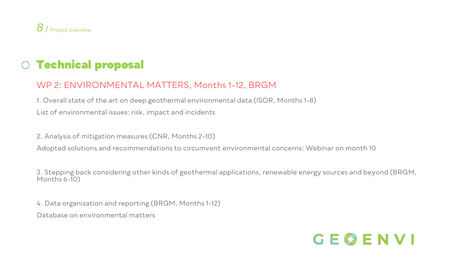

#### WP 2: ENVIRONMENTAL MATTERS, Months 1-12, BRGM

1. Overall state of the art on deep geothermal environmental data (ISOR, Months 1-8) List of environmental issues: risk, impact and incidents

2. Analysis of mitigation measures (CNR, Months 2-10)

Adopted solutions and recommendations to circumvent environmental concerns: Webinar on month 10

3. Stepping back considering other kinds of geothermal applications, renewable energy sources and beyond (BRGM, Months 6-10)

4. Data organization and reporting (BRGM, Months 1-12)

Database on environmental matters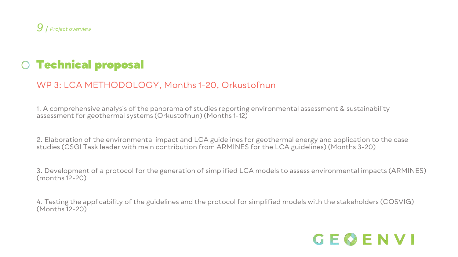

#### WP 3: LCA METHODOLOGY, Months 1-20, Orkustofnun

1. A comprehensive analysis of the panorama of studies reporting environmental assessment & sustainability assessment for geothermal systems (Orkustofnun) (Months 1-12)

2. Elaboration of the environmental impact and LCA guidelines for geothermal energy and application to the case studies (CSGI Task leader with main contribution from ARMINES for the LCA guidelines) (Months 3-20)

3. Development of a protocol for the generation of simplified LCA models to assess environmental impacts (ARMINES) (months 12-20)

4. Testing the applicability of the guidelines and the protocol for simplified models with the stakeholders (COSVIG) (Months 12-20)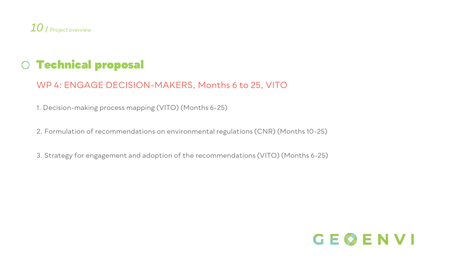

#### WP 4: ENGAGE DECISION-MAKERS, Months 6 to 25, VITO

1. Decision-making process mapping (VITO) (Months 6-25)

2. Formulation of recommendations on environmental regulations (CNR) (Months 10-25)

3. Strategy for engagement and adoption of the recommendations (VITO) (Months 6-25)

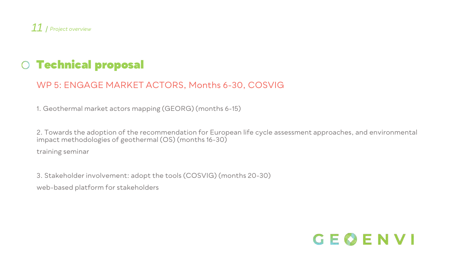

#### WP 5: ENGAGE MARKET ACTORS, Months 6-30, COSVIG

1. Geothermal market actors mapping (GEORG) (months 6-15)

2. Towards the adoption of the recommendation for European life cycle assessment approaches, and environmental impact methodologies of geothermal (OS) (months 16-30)

training seminar

3. Stakeholder involvement: adopt the tools (COSVIG) (months 20-30) web-based platform for stakeholders